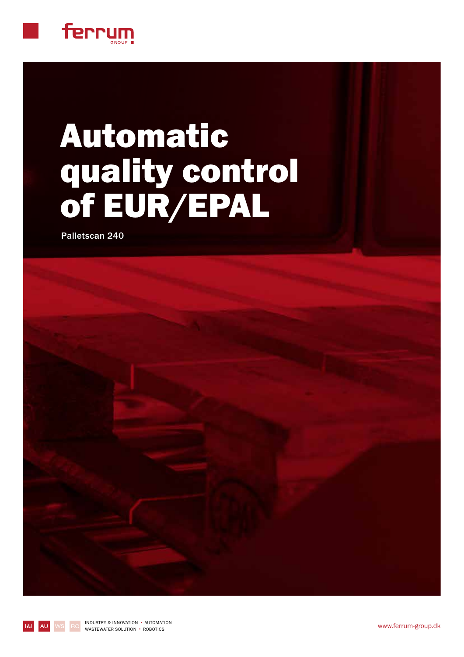

# Automatic quality control of EUR/EPAL

Palletscan 240

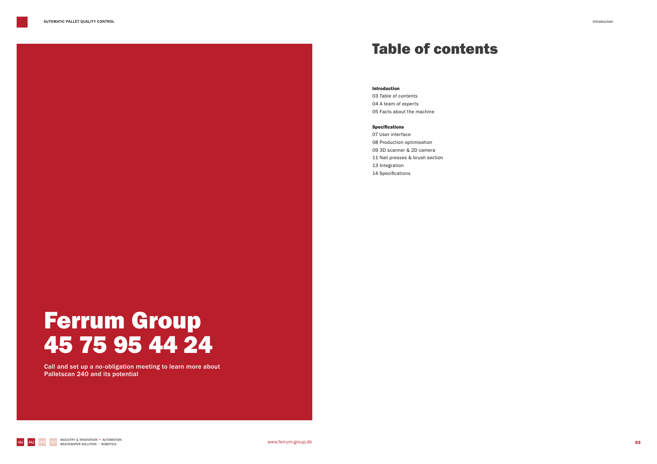### Table of contents

#### Introduction

03 Table of contents 04 A team of experts 05 Facts about the machine

#### Specifications

07 User interface 08 Production optimisation 09 3D scanner & 2D camera 11 Nail presses & brush section 13 Integration 14 Specifications



# Ferrum Group 45 75 95 44 24

Call and set up a no-obligation meeting to learn more about Palletscan 240 and its potential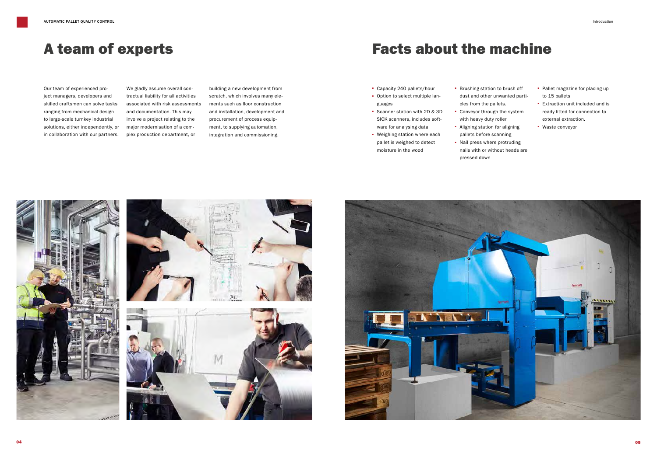## Facts about the machine

- · Capacity 240 pallets/hour
- · Option to select multiple languages
- · Scanner station with 2D & 3D SICK scanners, includes software for analysing data
- · Weighing station where each pallet is weighed to detect moisture in the wood
- · Brushing station to brush off dust and other unwanted particles from the pallets. · Conveyor through the system
- with heavy duty roller · Aligning station for aligning
- pallets before scanning · Nail press where protruding nails with or without heads are pressed down









### A team of experts

- 
- 
- 
- 
- · Pallet magazine for placing up to 15 pallets
- · Extraction unit included and is ready fitted for connection to external extraction.
- · Waste conveyor

Our team of experienced project managers, developers and skilled craftsmen can solve tasks ranging from mechanical design to large-scale turnkey industrial solutions, either independently, or in collaboration with our partners.

We gladly assume overall contractual liability for all activities associated with risk assessments and documentation. This may involve a project relating to the major modernisation of a complex production department, or

building a new development from scratch, which involves many elements such as floor construction and installation, development and procurement of process equipment, to supplying automation, integration and commissioning.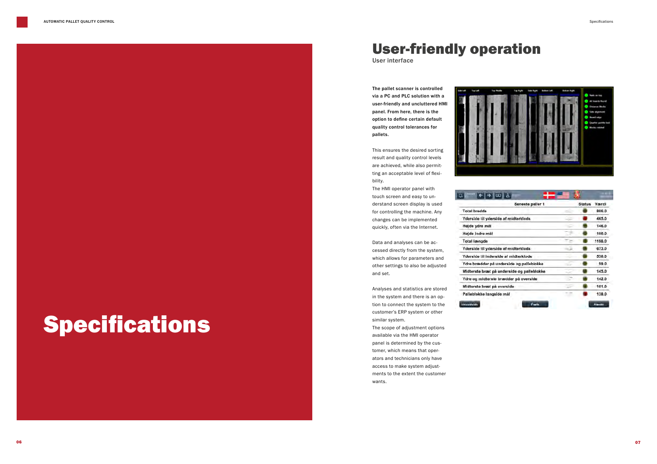# Specifications

The pallet scanner is controlled via a PC and PLC solution with a user-friendly and uncluttered HMI panel. From here, there is the option to define certain default quality control tolerances for pallets.

This ensures the desired sorting result and quality control levels are achieved, while also permitting an acceptable level of flexibility.

The HMI operator panel with touch screen and easy to understand screen display is used for controlling the machine. Any changes can be implemented quickly, often via the Internet.

Data and analyses can be accessed directly from the system, which allows for parameters and other settings to also be adjusted and set.

Analyses and statistics are stored in the system and there is an option to connect the system to the customer's ERP system or other similar system.

The scope of adjustment options available via the HMI operator panel is determined by the customer, which means that operators and technicians only have access to make system adjustments to the extent the customer wants.



### 

**Total bredde** Yderside til ydersi Højde ydre mål Højde indre mål **Total længde** Yderside til ydersi Yderside til inden Ydre brædder på u Midterste bræt på Ydre og midterste Midterste bræt på Palleblokke langs



| Seneste paller 1         |   | <b>Status</b> | Værdi  |
|--------------------------|---|---------------|--------|
|                          |   |               | 806.0  |
| ide af midterklods.      |   |               | 465.0  |
|                          |   |               | 146.0  |
|                          |   |               | 100.0  |
|                          |   |               | 1198.0 |
| ide af midterklods       |   |               | 673.0  |
| ide af midterklods       |   |               | 530.0  |
| underside og palleblokke | × |               | 99.0   |
| underside og palleblokke |   |               | 145.0  |
| brædder på overside      |   |               | 142.0  |
| overside                 |   |               | 101.0  |
| ide mål                  |   |               | 138.0  |

## User-friendly operation

User interface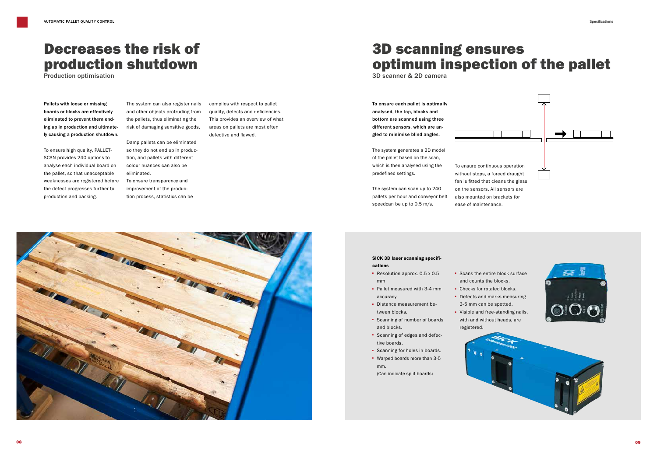### Decreases the risk of production shutdown

Production optimisation

Pallets with loose or missing boards or blocks are effectively eliminated to prevent them ending up in production and ultimately causing a production shutdown.

To ensure high quality, PALLET-SCAN provides 240 options to analyse each individual board on the pallet, so that unacceptable weaknesses are registered before the defect progresses further to production and packing.

The system can also register nails and other objects protruding from the pallets, thus eliminating the risk of damaging sensitive goods.

Damp pallets can be eliminated so they do not end up in production, and pallets with different colour nuances can also be eliminated. To ensure transparency and

improvement of the production process, statistics can be compiles with respect to pallet quality, defects and deficiencies. This provides an overview of what areas on pallets are most often defective and flawed.



### 3D scanning ensures optimum inspection of the pallet

3D scanner & 2D camera

To ensure each pallet is optimally analysed, the top, blocks and bottom are scanned using three different sensors, which are angled to minimise blind angles.

The system generates a 3D model of the pallet based on the scan, which is then analysed using the predefined settings.

The system can scan up to 240 pallets per hour and conveyor belt speedcan be up to 0.5 m/s.

To ensure continuous operation without stops, a forced draught fan is fitted that cleans the glass on the sensors. All sensors are also mounted on brackets for ease of maintenance.

### SICK 3D laser scanning specifications

- · Resolution approx. 0.5 x 0.5 mm
- · Pallet measured with 3-4 mm accuracy.
- · Distance measurement between blocks.
- · Scanning of number of boards and blocks.
- · Scanning of edges and defective boards.
- · Scanning for holes in boards.
- · Warped boards more than 3-5 mm. (Can indicate split boards)
- · Scans the entire block surface and counts the blocks. · Checks for rotated blocks. · Defects and marks measuring 3-5 mm can be spotted. · Visible and free-standing nails,
- with and without heads, are registered.







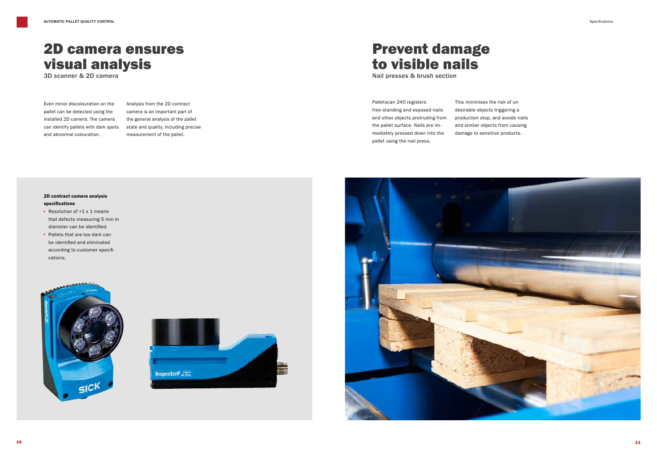### 2D camera ensures visual analysis

3D scanner & 2D camera

Even minor discolouration on the pallet can be detected using the installed 2D camera. The camera can identify pallets with dark spots and abnormal colouration.

### 2D contract camera analysis specifications

- · Resolution of >1 x 1 means that defects measuring 5 mm in diameter can be identified.
- · Pallets that are too dark can be identified and eliminated according to customer specifications.





### Prevent damage to visible nails

Nail presses & brush section

### Palletscan 240 registers free-standing and exposed nails and other objects protruding from the pallet surface. Nails are immediately pressed down into the pallet using the nail press.

This minimises the risk of undesirable objects triggering a production stop, and avoids nails and similar objects from causing damage to sensitive products.



Specifications

Analysis from the 2D contract camera is an important part of the general analysis of the pallet state and quality, including precise measurement of the pallet.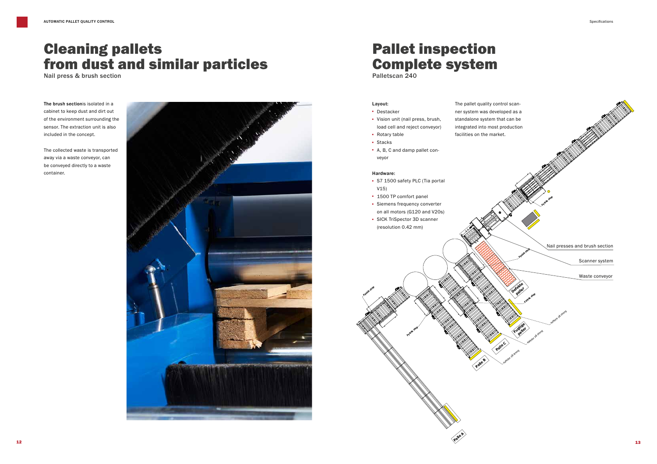**Fysisk stop**

**Fysisk stop**

**Palle A** 

## Pallet inspection Complete system

Palletscan 240

#### Layout:

- · Destacker
- · Vision unit (nail press, brush,
- load cell and reject conveyor) · Rotary table
- · Stacks
- · A, B, C and damp pallet conveyor

#### Hardware:

- · S7 1500 safety PLC (Tia portal V15)
- · 1500 TP comfort panel
- · Siemens frequency converter on all motors (G120 and V20s)
- · SICK TriSpector 3D scanner (resolution 0.42 mm)



### Cleaning pallets from dust and similar particles

Nail press & brush section

The brush sectionis isolated in a cabinet to keep dust and dirt out of the environment surrounding the sensor. The extraction unit is also included in the concept.

The collected waste is transported away via a waste conveyor, can be conveyed directly to a waste container.

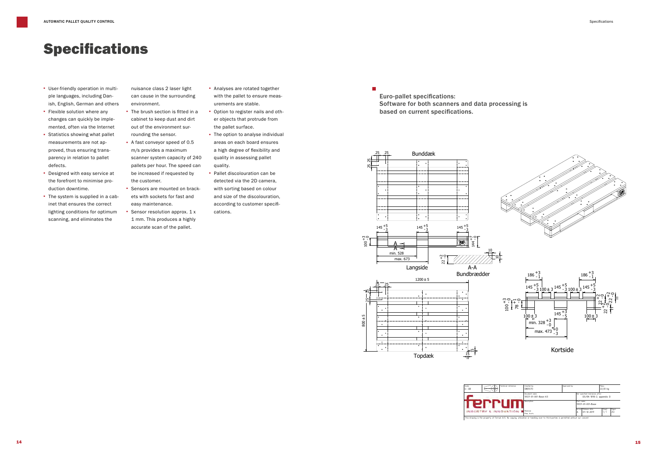### Specifications

- · User-friendly operation in multiple languages, including Danish, English, German and others
- · Flexible solution where any changes can quickly be implemented, often via the Internet
- · Statistics showing what pallet measurements are not approved, thus ensuring transparency in relation to pallet defects.
- · Designed with easy service at the forefront to minimise production downtime.
- · The system is supplied in a cabinet that ensures the correct lighting conditions for optimum scanning, and eliminates the



- nuisance class 2 laser light can cause in the surrounding environment.
- · The brush section is fitted in a cabinet to keep dust and dirt out of the environment surrounding the sensor.
- 5scanner system capacity of 240 · A fast conveyor speed of 0.5 m/s provides a maximum pallets per hour. The speed can be increased if requested by the customer.
- · Sensors are mounted on brackets with sockets for fast and easy maintenance.
- · Sensor resolution approx. 1 x 1 mm. This produces a highly accurate scan of the pallet.
- · Analyses are rotated together with the pallet to ensure measurements are stable.
- · Option to register nails and other objects that protrude from the pallet surface.
- areas on each search encared<br>a high degree of flexibility and · The option to analyse individual areas on each board ensures quality in assessing pallet quality.
- Pallet discolouration can be detected via the 2D camera, with sorting based on colour and size of the discolouration, according to customer specifications.







Kortside

| Scale:<br>Technical reference:<br>1:10 | Created by:<br>CB(ESTI)                | Approved by: |   |                                                             | Mass:<br>22,33 kg       |              |  |
|----------------------------------------|----------------------------------------|--------------|---|-------------------------------------------------------------|-------------------------|--------------|--|
|                                        | Document name:<br>10127-01-001-Base-A3 |              |   | Not specified tolerances after:<br>DS/EN 1090-2, appendix D |                         |              |  |
|                                        | Description:                           |              |   | i Part name:<br>10127-01-001-Base                           |                         |              |  |
| INDUSTRY & INNOVATION                  | Material:<br>Pine. Scots               |              | A | Version: Release date:<br>$07 - 12 - 2017$                  | Sheet:<br>$\frac{1}{2}$ | Paper:<br>A3 |  |

Euro-pallet specifications: Software for both scanners and data processing is based on current specifications.

r.

Specifications